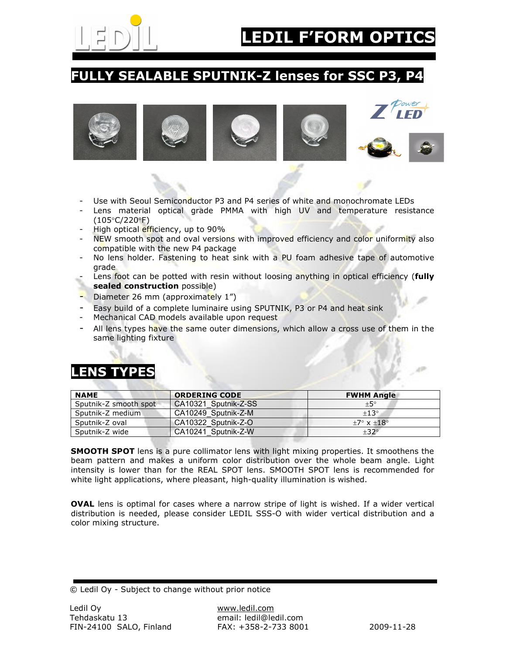

### **FULLY SEALABLE SPUTNIK-Z lenses for SSC P3, P4**











- Use with Seoul Semiconductor P3 and P4 series of white and monochromate LEDs
- Lens material optical grade PMMA with high UV and temperature resistance (105°C/220°F)
- High optical efficiency, up to 90%
- NEW smooth spot and oval versions with improved efficiency and color uniformity also compatible with the new P4 package
- No lens holder. Fastening to heat sink with a PU foam adhesive tape of automotive grade
- Lens foot can be potted with resin without loosing anything in optical efficiency (**fully sealed construction** possible)
- Diameter 26 mm (approximately 1")
- Easy build of a complete luminaire using SPUTNIK, P3 or P4 and heat sink
- Mechanical CAD models available upon request
- All lens types have the same outer dimensions, which allow a cross use of them in the same lighting fixture

# **LENS TYPES**

| <b>NAME</b>           | <b>ORDERING CODE</b> | <b>FWHM Angle</b>           |
|-----------------------|----------------------|-----------------------------|
| Sputnik-Z smooth spot | CA10321 Sputnik-Z-SS | ±5°                         |
| Sputnik-Z medium      | CA10249 Sputnik-Z-M  | $+13^\circ$                 |
| Sputnik-Z oval        | CA10322 Sputnik-Z-O  | $+7^\circ \times +18^\circ$ |
| Sputnik-Z wide        | CA10241 Sputnik-Z-W  | $+32^\circ$                 |

**SMOOTH SPOT** lens is a pure collimator lens with light mixing properties. It smoothens the beam pattern and makes a uniform color distribution over the whole beam angle. Light intensity is lower than for the REAL SPOT lens. SMOOTH SPOT lens is recommended for white light applications, where pleasant, high-quality illumination is wished.

**OVAL** lens is optimal for cases where a narrow stripe of light is wished. If a wider vertical distribution is needed, please consider LEDIL SSS-O with wider vertical distribution and a color mixing structure.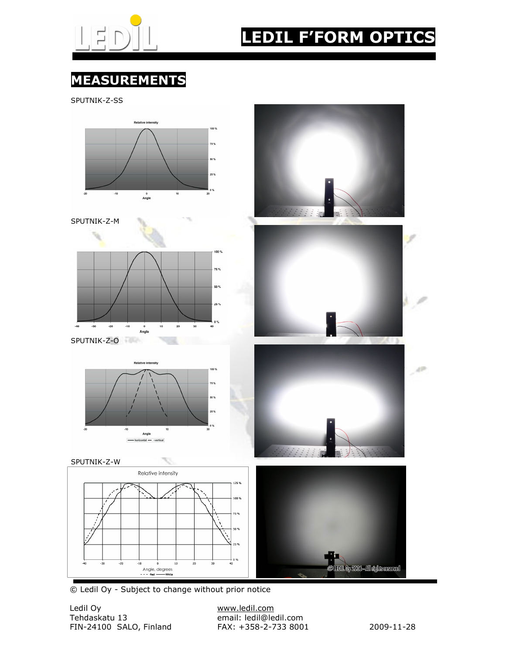

# **LEDIL F'FORM OPTIC**

# **MEASUREMENTS**

SPUTNIK-Z-SS

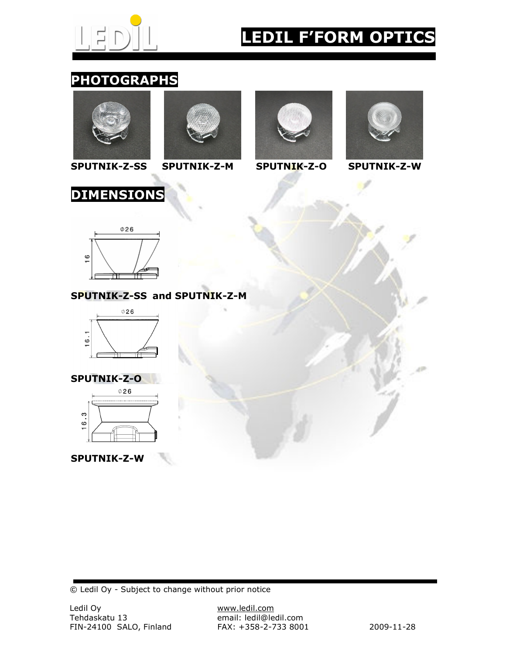

# **EDIL F'FORM OPTIC**

## **PHOTOGRAPHS**



**SPUTNIK-Z-SS SPUTNIK-Z-M SPUTNIK-Z-O SPUTNIK-Z-W** 











#### **SPUTNIK-Z-SS and SPUTNIK-Z-M**



## **SPUTNIK-Z-O**



#### **SPUTNIK-Z-W**